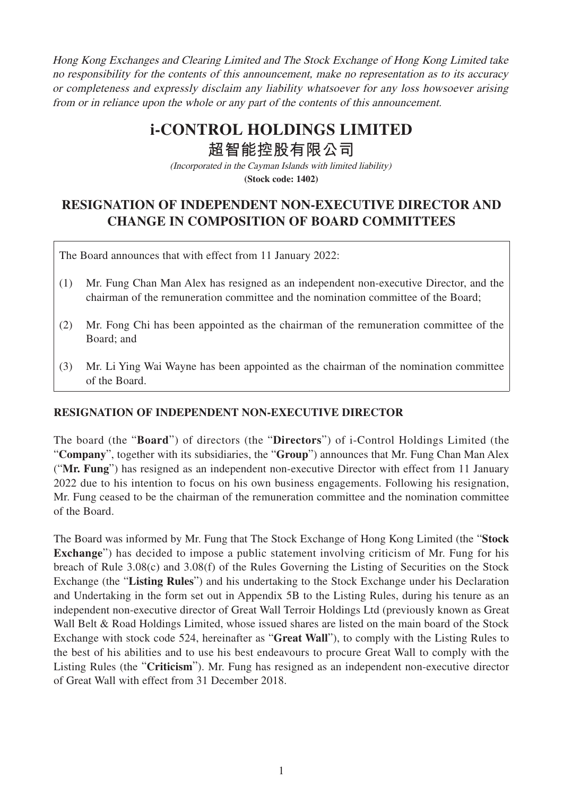Hong Kong Exchanges and Clearing Limited and The Stock Exchange of Hong Kong Limited take no responsibility for the contents of this announcement, make no representation as to its accuracy or completeness and expressly disclaim any liability whatsoever for any loss howsoever arising from or in reliance upon the whole or any part of the contents of this announcement.

## **i-CONTROL HOLDINGS LIMITED**

**超智能控股有限公司**

(Incorporated in the Cayman Islands with limited liability) **(Stock code: 1402)**

## **RESIGNATION OF INDEPENDENT NON-EXECUTIVE DIRECTOR AND CHANGE IN COMPOSITION OF BOARD COMMITTEES**

The Board announces that with effect from 11 January 2022:

- (1) Mr. Fung Chan Man Alex has resigned as an independent non-executive Director, and the chairman of the remuneration committee and the nomination committee of the Board;
- (2) Mr. Fong Chi has been appointed as the chairman of the remuneration committee of the Board; and
- (3) Mr. Li Ying Wai Wayne has been appointed as the chairman of the nomination committee of the Board.

## **RESIGNATION OF INDEPENDENT NON-EXECUTIVE DIRECTOR**

The board (the "**Board**") of directors (the "**Directors**") of i-Control Holdings Limited (the "**Company**", together with its subsidiaries, the "**Group**") announces that Mr. Fung Chan Man Alex ("**Mr. Fung**") has resigned as an independent non-executive Director with effect from 11 January 2022 due to his intention to focus on his own business engagements. Following his resignation, Mr. Fung ceased to be the chairman of the remuneration committee and the nomination committee of the Board.

The Board was informed by Mr. Fung that The Stock Exchange of Hong Kong Limited (the "**Stock Exchange**") has decided to impose a public statement involving criticism of Mr. Fung for his breach of Rule 3.08(c) and 3.08(f) of the Rules Governing the Listing of Securities on the Stock Exchange (the "**Listing Rules**") and his undertaking to the Stock Exchange under his Declaration and Undertaking in the form set out in Appendix 5B to the Listing Rules, during his tenure as an independent non-executive director of Great Wall Terroir Holdings Ltd (previously known as Great Wall Belt & Road Holdings Limited, whose issued shares are listed on the main board of the Stock Exchange with stock code 524, hereinafter as "**Great Wall**"), to comply with the Listing Rules to the best of his abilities and to use his best endeavours to procure Great Wall to comply with the Listing Rules (the "**Criticism**"). Mr. Fung has resigned as an independent non-executive director of Great Wall with effect from 31 December 2018.